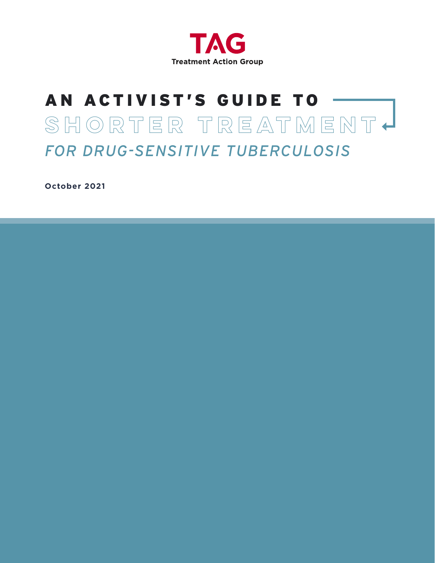

# AN ACTIVIST'S GUIDE TO **shorter Treatment** *FOR DRUG-SENSITIVE TUBERCULOSIS*

**October 2021**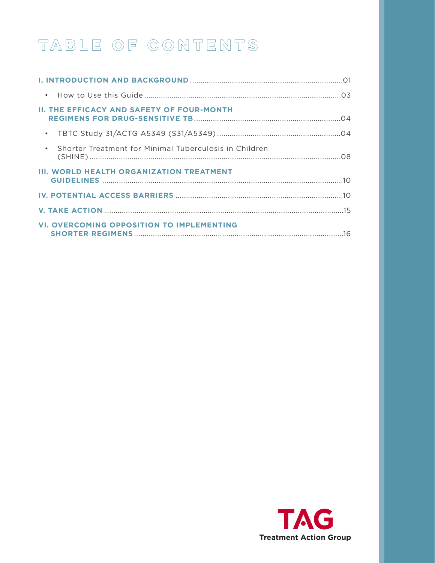# TABLE OF CONTENTS

| <b>II. THE EFFICACY AND SAFETY OF FOUR-MONTH</b>         |  |
|----------------------------------------------------------|--|
|                                                          |  |
| • Shorter Treatment for Minimal Tuberculosis in Children |  |
| <b>III. WORLD HEALTH ORGANIZATION TREATMENT</b>          |  |
|                                                          |  |
|                                                          |  |
| <b>VI. OVERCOMING OPPOSITION TO IMPLEMENTING</b>         |  |

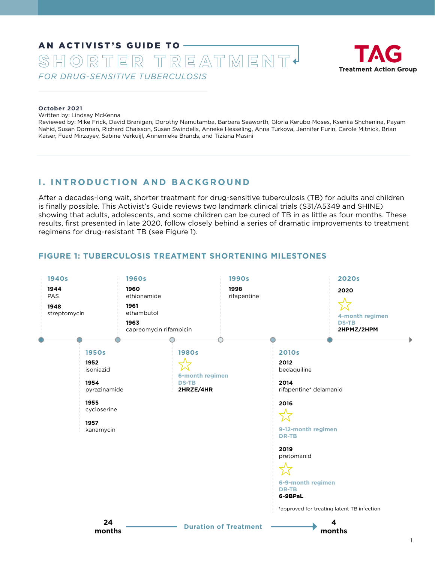## <span id="page-2-0"></span>AN ACTIVIST'S GUIDE TO **shorter Treatment** *FOR DRUG-SENSITIVE TUBERCULOSIS*



#### **October 2021**

Written by: Lindsay McKenna

Reviewed by: Mike Frick, David Branigan, Dorothy Namutamba, Barbara Seaworth, Gloria Kerubo Moses, Kseniia Shchenina, Payam Nahid, Susan Dorman, Richard Chaisson, Susan Swindells, Anneke Hesseling, Anna Turkova, Jennifer Furin, Carole Mitnick, Brian Kaiser, Fuad Mirzayev, Sabine Verkuijl, Annemieke Brands, and Tiziana Masini

## **I. INTRODUCTION AND BACKGROUND**

After a decades-long wait, shorter treatment for drug-sensitive tuberculosis (TB) for adults and children is finally possible. This Activist's Guide reviews two landmark clinical trials (S31/A5349 and SHINE) showing that adults, adolescents, and some children can be cured of TB in as little as four months. These results, first presented in late 2020, follow closely behind a series of dramatic improvements to treatment regimens for drug-resistant TB (see Figure 1).

## **FIGURE 1: TUBERCULOSIS TREATMENT SHORTENING MILESTONES**

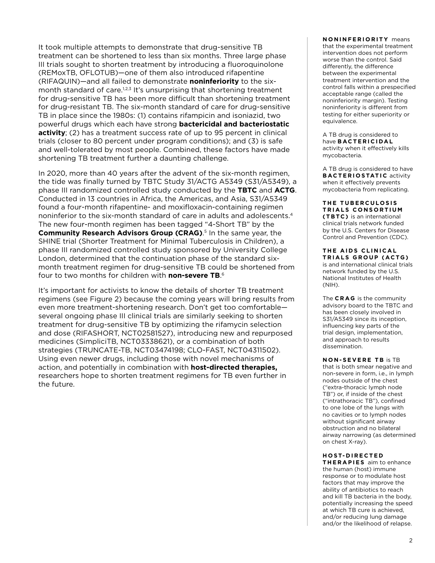It took multiple attempts to demonstrate that drug-sensitive TB treatment can be shortened to less than six months. Three large phase III trials sought to shorten treatment by introducing a fluoroquinolone (REMoxTB, OFLOTUB)—one of them also introduced rifapentine (RIFAQUIN)—and all failed to demonstrate **noninferiority** to the sixmonth standard of care.<sup>1,2,3</sup> It's unsurprising that shortening treatment for drug-sensitive TB has been more difficult than shortening treatment for drug-resistant TB. The six-month standard of care for drug-sensitive TB in place since the 1980s: (1) contains rifampicin and isoniazid, two powerful drugs which each have strong **bactericidal and bacteriostatic activity**; (2) has a treatment success rate of up to 95 percent in clinical trials (closer to 80 percent under program conditions); and (3) is safe and well-tolerated by most people. Combined, these factors have made shortening TB treatment further a daunting challenge.

In 2020, more than 40 years after the advent of the six-month regimen, the tide was finally turned by TBTC Study 31/ACTG A5349 (S31/A5349), a phase III randomized controlled study conducted by the **TBTC** and **ACTG**. Conducted in 13 countries in Africa, the Americas, and Asia, S31/A5349 found a four-month rifapentine- and moxifloxacin-containing regimen noninferior to the six-month standard of care in adults and adolescents.<sup>4</sup> The new four-month regimen has been tagged "4-Short TB" by the **Community Research Advisors Group (CRAG).**<sup>5</sup> In the same year, the SHINE trial (Shorter Treatment for Minimal Tuberculosis in Children), a phase III randomized controlled study sponsored by University College London, determined that the continuation phase of the standard sixmonth treatment regimen for drug-sensitive TB could be shortened from four to two months for children with **non-severe TB**. 6

It's important for activists to know the details of shorter TB treatment regimens (see Figure 2) because the coming years will bring results from even more treatment-shortening research. Don't get too comfortable several ongoing phase III clinical trials are similarly seeking to shorten treatment for drug-sensitive TB by optimizing the rifamycin selection and dose (RIFASHORT, [NCT02581527\)](https://clinicaltrials.gov/ct2/show/NCT02581527), introducing new and repurposed medicines (SimpliciTB, [NCT03338621\)](https://clinicaltrials.gov/ct2/show/NCT03338621?term=SimpliciTB&rank=1), or a combination of both strategies (TRUNCATE-TB, [NCT03474198](https://clinicaltrials.gov/ct2/show/NCT03474198?term=TRUNCATE&rank=1); CLO-FAST, [NCT04311502](https://clinicaltrials.gov/ct2/show/NCT04311502)). Using even newer drugs, including those with novel mechanisms of action, and potentially in combination with **host-directed therapies,** researchers hope to shorten treatment regimens for TB even further in the future.

#### **NONINFERIORITY** means

that the experimental treatment intervention does not perform worse than the control. Said differently, the difference between the experimental treatment intervention and the control falls within a prespecified acceptable range (called the noninferiority margin). Testing noninferiority is different from testing for either superiority or equivalence.

A TB drug is considered to have **BACTERICIDAL** activity when it effectively kills mycobacteria.

A TB drug is considered to have **BACTERIOSTATIC** activity when it effectively prevents mycobacteria from replicating.

**THE TUBERCULOSIS TRIALS CONSORTIUM (TBTC)** is an international clinical trials network funded by the U.S. Centers for Disease Control and Prevention (CDC).

**THE AIDS CLINICAL TRIALS GROUP (ACTG)** is and international clinical trials network funded by the U.S. National Institutes of Health (NIH).

The **CRAG** is the community advisory board to the TBTC and has been closely involved in S31/A5349 since its inception, influencing key parts of the trial design, implementation, and approach to results dissemination.

**NON-SEVERE TB** is TB that is both smear negative and non-severe in form, i.e., in lymph nodes outside of the chest ("extra-thoracic lymph node TB") or, if inside of the chest ("intrathoracic TB"), confined to one lobe of the lungs with no cavities or to lymph nodes without significant airway obstruction and no bilateral airway narrowing (as determined on chest X-ray).

#### **H O S T- D I R E C T E D**

**THERAPIES** aim to enhance the human (host) immune response or to modulate host factors that may improve the ability of antibiotics to reach and kill TB bacteria in the body, potentially increasing the speed at which TB cure is achieved, and/or reducing lung damage and/or the likelihood of relapse.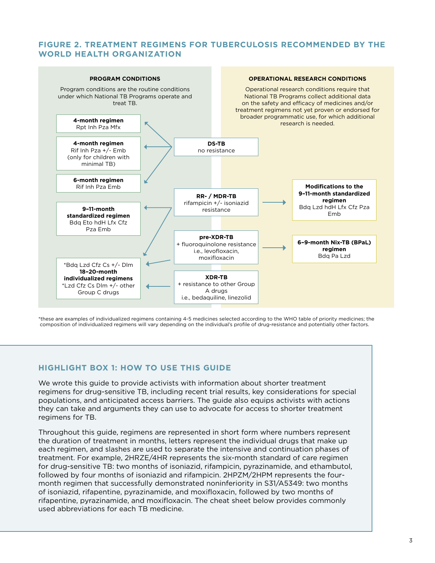## <span id="page-4-0"></span>**FIGURE 2. TREATMENT REGIMENS FOR TUBERCULOSIS RECOMMENDED BY THE WORLD HEALTH ORGANIZATION**



\*these are examples of individualized regimens containing 4-5 medicines selected according to the WHO table of priority medicines; the composition of individualized regimens will vary depending on the individual's profile of drug-resistance and potentially other factors.

## **HIGHLIGHT BOX 1: HOW TO USE THIS GUIDE**

We wrote this guide to provide activists with information about shorter treatment regimens for drug-sensitive TB, including recent trial results, key considerations for special populations, and anticipated access barriers. The guide also equips activists with actions they can take and arguments they can use to advocate for access to shorter treatment regimens for TB.

Throughout this guide, regimens are represented in short form where numbers represent the duration of treatment in months, letters represent the individual drugs that make up each regimen, and slashes are used to separate the intensive and continuation phases of treatment. For example, 2HRZE/4HR represents the six-month standard of care regimen for drug-sensitive TB: two months of isoniazid, rifampicin, pyrazinamide, and ethambutol, followed by four months of isoniazid and rifampicin. 2HPZM/2HPM represents the fourmonth regimen that successfully demonstrated noninferiority in S31/A5349: two months of isoniazid, rifapentine, pyrazinamide, and moxifloxacin, followed by two months of rifapentine, pyrazinamide, and moxifloxacin. The cheat sheet below provides commonly used abbreviations for each TB medicine.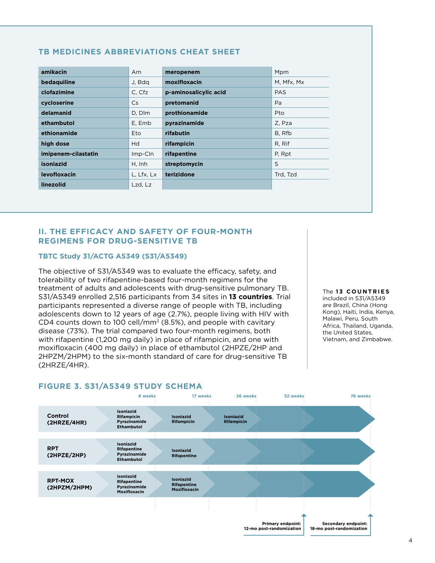| amikacin            | Am         | meropenem             | Mpm        |
|---------------------|------------|-----------------------|------------|
| bedaquiline         | J, Bdg     | moxifloxacin          | M, Mfx, Mx |
| clofazimine         | C. Cfz     | p-aminosalicylic acid | <b>PAS</b> |
| cycloserine         | <b>Cs</b>  | pretomanid            | Pa         |
| delamanid           | D, Dlm     | prothionamide         | Pto        |
| ethambutol          | E, Emb     | pyrazinamide          | Z, Pza     |
| ethionamide         | Eto        | rifabutin             | B, Rfb     |
| high dose           | Hd         | rifampicin            | R, Rif     |
| imipenem-cilastatin | Imp-Cln    | rifapentine           | P, Rpt     |
| isoniazid           | H, Inh     | streptomycin          | S          |
| levofloxacin        | L, Lfx, Lx | terizidone            | Trd, Tzd   |
| linezolid           | Lzd, Lz    |                       |            |

## <span id="page-5-0"></span>**TB MEDICINES ABBREVIATIONS CHEAT SHEET**

#### **II. THE EFFICACY AND SAFETY OF FOUR-MONTH REGIMENS FOR DRUG-SENSITIVE TB**

#### **TBTC Study 31/ACTG A5349 (S31/A5349)**

The objective of S31/A5349 was to evaluate the efficacy, safety, and tolerability of two rifapentine-based four-month regimens for the treatment of adults and adolescents with drug-sensitive pulmonary TB. S31/A5349 enrolled 2,516 participants from 34 sites in **13 countries**. Trial participants represented a diverse range of people with TB, including adolescents down to 12 years of age (2.7%), people living with HIV with CD4 counts down to 100 cell/mm<sup>3</sup> (8.5%), and people with cavitary disease (73%). The trial compared two four-month regimens, both with rifapentine (1,200 mg daily) in place of rifampicin, and one with moxifloxacin (400 mg daily) in place of ethambutol (2HPZE/2HP and 2HPZM/2HPM) to the six-month standard of care for drug-sensitive TB (2HRZE/4HR).

The 13 COUNTRIES

included in S31/A5349 are Brazil, China (Hong Kong), Haiti, India, Kenya, Malawi, Peru, South Africa, Thailand, Uganda, the United States, Vietnam, and Zimbabwe.



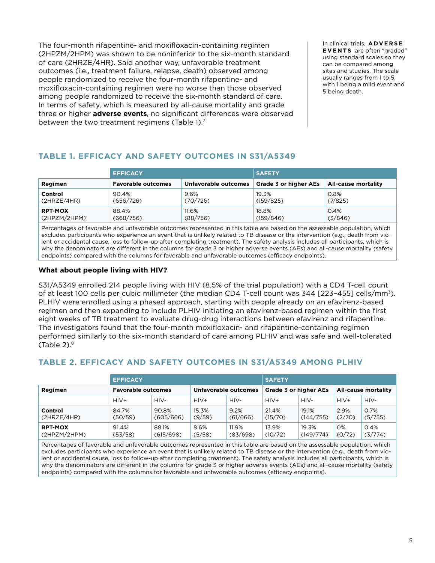The four-month rifapentine- and moxifloxacin-containing regimen (2HPZM/2HPM) was shown to be noninferior to the six-month standard of care (2HRZE/4HR). Said another way, unfavorable treatment outcomes (i.e., treatment failure, relapse, death) observed among people randomized to receive the four-month rifapentine- and moxifloxacin-containing regimen were no worse than those observed among people randomized to receive the six-month standard of care. In terms of safety, which is measured by all-cause mortality and grade three or higher **adverse events**, no significant differences were observed between the two treatment regimens (Table 1).<sup>7</sup>

In clinical trials, **A DV E R S E EVENTS** are often "graded" using standard scales so they can be compared among sites and studies. The scale usually ranges from 1 to 5, with 1 being a mild event and 5 being death.

## **TABLE 1. EFFICACY AND SAFETY OUTCOMES IN S31/A5349**

|                | <b>EFFICACY</b>           |                      | <b>SAFETY</b>                |                            |  |
|----------------|---------------------------|----------------------|------------------------------|----------------------------|--|
| Regimen        | <b>Favorable outcomes</b> | Unfavorable outcomes | <b>Grade 3 or higher AEs</b> | <b>All-cause mortality</b> |  |
| Control        | 90.4%                     | 9.6%                 | 19.3%                        | 0.8%                       |  |
| (2HRZE/4HR)    | (656/726)                 | (70/726)             | (159/825)                    | (7/825)                    |  |
| <b>RPT-MOX</b> | 88.4%                     | 11.6%                | 18.8%                        | 0.4%                       |  |
| (2HPZM/2HPM)   | (668/756)                 | (88/756)             | (159/846)                    | (3/846)                    |  |

Percentages of favorable and unfavorable outcomes represented in this table are based on the assessable population, which excludes participants who experience an event that is unlikely related to TB disease or the intervention (e.g., death from violent or accidental cause, loss to follow-up after completing treatment). The safety analysis includes all participants, which is why the denominators are different in the columns for grade 3 or higher adverse events (AEs) and all-cause mortality (safety endpoints) compared with the columns for favorable and unfavorable outcomes (efficacy endpoints).

## **What about people living with HIV?**

S31/A5349 enrolled 214 people living with HIV (8.5% of the trial population) with a CD4 T-cell count of at least 100 cells per cubic millimeter (the median CD4 T-cell count was 344 [223-455] cells/mm<sup>3</sup>). PLHIV were enrolled using a phased approach, starting with people already on an efavirenz-based regimen and then expanding to include PLHIV initiating an efavirenz-based regimen within the first eight weeks of TB treatment to evaluate drug-drug interactions between efavirenz and rifapentine. The investigators found that the four-month moxifloxacin- and rifapentine-containing regimen performed similarly to the six-month standard of care among PLHIV and was safe and well-tolerated (Table  $2$ ). $8$ 

## **TABLE 2. EFFICACY AND SAFETY OUTCOMES IN S31/A5349 AMONG PLHIV**

|                                | <b>EFFICACY</b>           |                    |                      |                   | <b>SAFETY</b>                |                    |                     |                 |
|--------------------------------|---------------------------|--------------------|----------------------|-------------------|------------------------------|--------------------|---------------------|-----------------|
| Regimen                        | <b>Favorable outcomes</b> |                    | Unfavorable outcomes |                   | <b>Grade 3 or higher AEs</b> |                    | All-cause mortality |                 |
|                                | $HIV+$                    | $HIV-$             | $HIV+$               | HIV-              | $HIV+$                       | HIV-               | $HIV+$              | HIV-            |
| Control<br>(2HRZE/4HR)         | 84.7%<br>(50/59)          | 90.8%<br>(605/666) | 15.3%<br>(9/59)      | 9.2%<br>(61/666)  | 21.4%<br>(15/70)             | 19.1%<br>(144/755) | 2.9%<br>(2/70)      | 0.7%<br>(5/755) |
| <b>RPT-MOX</b><br>(2HPZM/2HPM) | 91.4%<br>(53/58)          | 88.1%<br>(615/698) | 8.6%<br>(5/58)       | 11.9%<br>(83/698) | 13.9%<br>(10/72)             | 19.3%<br>(149/774) | 0%<br>(0/72)        | 0.4%<br>(3/774) |

Percentages of favorable and unfavorable outcomes represented in this table are based on the assessable population, which excludes participants who experience an event that is unlikely related to TB disease or the intervention (e.g., death from violent or accidental cause, loss to follow-up after completing treatment). The safety analysis includes all participants, which is why the denominators are different in the columns for grade 3 or higher adverse events (AEs) and all-cause mortality (safety endpoints) compared with the columns for favorable and unfavorable outcomes (efficacy endpoints).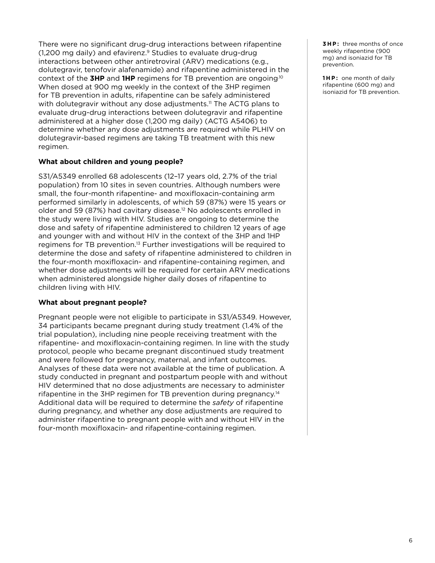There were no significant drug-drug interactions between rifapentine (1,200 mg daily) and efavirenz.<sup>9</sup> Studies to evaluate drug-drug interactions between other antiretroviral (ARV) medications (e.g., dolutegravir, tenofovir alafenamide) and rifapentine administered in the context of the **3HP** and **1HP** regimens for TB prevention are ongoing.10 When dosed at 900 mg weekly in the context of the 3HP regimen for TB prevention in adults, rifapentine can be safely administered with dolutegravir without any dose adjustments.<sup>11</sup> The ACTG plans to evaluate drug-drug interactions between dolutegravir and rifapentine administered at a higher dose (1,200 mg daily) (ACTG A5406) to determine whether any dose adjustments are required while PLHIV on dolutegravir-based regimens are taking TB treatment with this new regimen.

#### **What about children and young people?**

S31/A5349 enrolled 68 adolescents (12–17 years old, 2.7% of the trial population) from 10 sites in seven countries. Although numbers were small, the four-month rifapentine- and moxifloxacin-containing arm performed similarly in adolescents, of which 59 (87%) were 15 years or older and 59 (87%) had cavitary disease.12 No adolescents enrolled in the study were living with HIV. Studies are ongoing to determine the dose and safety of rifapentine administered to children 12 years of age and younger with and without HIV in the context of the 3HP and 1HP regimens for TB prevention.13 Further investigations will be required to determine the dose and safety of rifapentine administered to children in the four-month moxifloxacin- and rifapentine-containing regimen, and whether dose adjustments will be required for certain ARV medications when administered alongside higher daily doses of rifapentine to children living with HIV.

#### **What about pregnant people?**

Pregnant people were not eligible to participate in S31/A5349. However, 34 participants became pregnant during study treatment (1.4% of the trial population), including nine people receiving treatment with the rifapentine- and moxifloxacin-containing regimen. In line with the study protocol, people who became pregnant discontinued study treatment and were followed for pregnancy, maternal, and infant outcomes. Analyses of these data were not available at the time of publication. A study conducted in pregnant and postpartum people with and without HIV determined that no dose adjustments are necessary to administer rifapentine in the 3HP regimen for TB prevention during pregnancy.<sup>14</sup> Additional data will be required to determine the *safety* of rifapentine during pregnancy, and whether any dose adjustments are required to administer rifapentine to pregnant people with and without HIV in the four-month moxifloxacin- and rifapentine-containing regimen.

**3HP:** three months of once weekly rifapentine (900 mg) and isoniazid for TB prevention.

**1HP:** one month of daily rifapentine (600 mg) and isoniazid for TB prevention.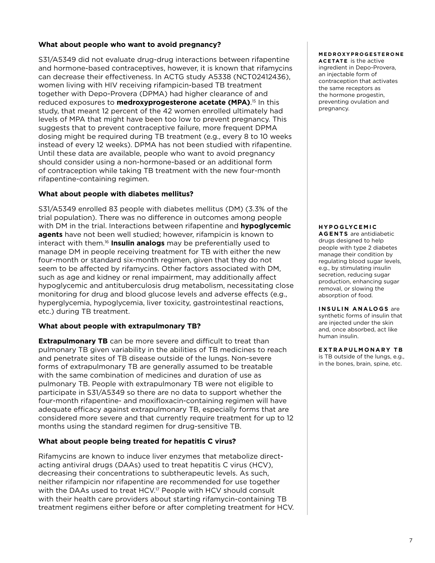#### **What about people who want to avoid pregnancy?**

S31/A5349 did not evaluate drug-drug interactions between rifapentine and hormone-based contraceptives, however, it is known that rifamycins can decrease their effectiveness. In ACTG study A5338 (NCT02412436), women living with HIV receiving rifampicin-based TB treatment together with Depo-Provera (DPMA) had higher clearance of and reduced exposures to **medroxyprogesterone acetate (MPA)**. <sup>15</sup> In this study, that meant 12 percent of the 42 women enrolled ultimately had levels of MPA that might have been too low to prevent pregnancy. This suggests that to prevent contraceptive failure, more frequent DPMA dosing might be required during TB treatment (e.g., every 8 to 10 weeks instead of every 12 weeks). DPMA has not been studied with rifapentine. Until these data are available, people who want to avoid pregnancy should consider using a non-hormone-based or an additional form of contraception while taking TB treatment with the new four-month rifapentine-containing regimen.

#### **What about people with diabetes mellitus?**

S31/A5349 enrolled 83 people with diabetes mellitus (DM) (3.3% of the trial population). There was no difference in outcomes among people with DM in the trial. Interactions between rifapentine and **hypoglycemic agents** have not been well studied; however, rifampicin is known to interact with them.<sup>16</sup> **Insulin analogs** may be preferentially used to manage DM in people receiving treatment for TB with either the new four-month or standard six-month regimen, given that they do not seem to be affected by rifamycins. Other factors associated with DM, such as age and kidney or renal impairment, may additionally affect hypoglycemic and antituberculosis drug metabolism, necessitating close monitoring for drug and blood glucose levels and adverse effects (e.g., hyperglycemia, hypoglycemia, liver toxicity, gastrointestinal reactions, etc.) during TB treatment.

#### **What about people with extrapulmonary TB?**

**Extrapulmonary TB** can be more severe and difficult to treat than pulmonary TB given variability in the abilities of TB medicines to reach and penetrate sites of TB disease outside of the lungs. Non-severe forms of extrapulmonary TB are generally assumed to be treatable with the same combination of medicines and duration of use as pulmonary TB. People with extrapulmonary TB were not eligible to participate in S31/A5349 so there are no data to support whether the four-month rifapentine- and moxifloxacin-containing regimen will have adequate efficacy against extrapulmonary TB, especially forms that are considered more severe and that currently require treatment for up to 12 months using the standard regimen for drug-sensitive TB.

#### **What about people being treated for hepatitis C virus?**

Rifamycins are known to induce liver enzymes that metabolize directacting antiviral drugs (DAAs) used to treat hepatitis C virus (HCV), decreasing their concentrations to subtherapeutic levels. As such, neither rifampicin nor rifapentine are recommended for use together with the DAAs used to treat HCV.17 People with HCV should consult with their health care providers about starting rifamycin-containing TB treatment regimens either before or after completing treatment for HCV.

#### **M E D R OXY P R O G E S T E R O N E**

**ACETATE** is the active ingredient in Depo-Provera, an injectable form of contraception that activates the same receptors as the hormone progestin, preventing ovulation and pregnancy.

#### **H Y P O G LYC E M I C**

**AGENTS** are antidiabetic drugs designed to help people with type 2 diabetes manage their condition by regulating blood sugar levels, e.g., by stimulating insulin secretion, reducing sugar production, enhancing sugar removal, or slowing the absorption of food.

#### **INSULIN ANALOGS** are synthetic forms of insulin that

are injected under the skin and, once absorbed, act like human insulin.

#### **EXTRAPULMONARY TB**

is TB outside of the lungs, e.g., in the bones, brain, spine, etc.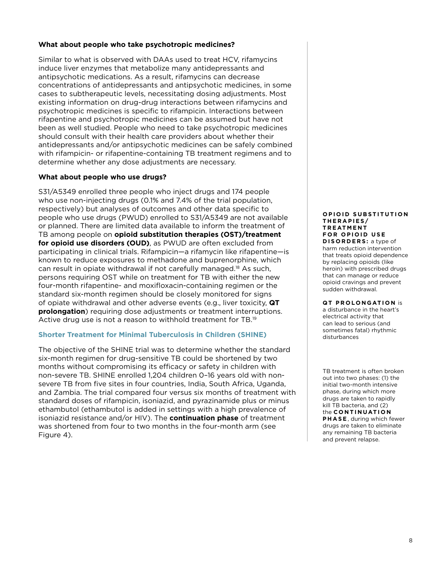#### <span id="page-9-0"></span>**What about people who take psychotropic medicines?**

Similar to what is observed with DAAs used to treat HCV, rifamycins induce liver enzymes that metabolize many antidepressants and antipsychotic medications. As a result, rifamycins can decrease concentrations of antidepressants and antipsychotic medicines, in some cases to subtherapeutic levels, necessitating dosing adjustments. Most existing information on drug-drug interactions between rifamycins and psychotropic medicines is specific to rifampicin. Interactions between rifapentine and psychotropic medicines can be assumed but have not been as well studied. People who need to take psychotropic medicines should consult with their health care providers about whether their antidepressants and/or antipsychotic medicines can be safely combined with rifampicin- or rifapentine-containing TB treatment regimens and to determine whether any dose adjustments are necessary.

#### **What about people who use drugs?**

S31/A5349 enrolled three people who inject drugs and 174 people who use non-injecting drugs (0.1% and 7.4% of the trial population, respectively) but analyses of outcomes and other data specific to people who use drugs (PWUD) enrolled to S31/A5349 are not available or planned. There are limited data available to inform the treatment of TB among people on **opioid substitution therapies (OST)/treatment for opioid use disorders (OUD)**, as PWUD are often excluded from participating in clinical trials. Rifampicin—a rifamycin like rifapentine—is known to reduce exposures to methadone and buprenorphine, which can result in opiate withdrawal if not carefully managed.18 As such, persons requiring OST while on treatment for TB with either the new four-month rifapentine- and moxifloxacin-containing regimen or the standard six-month regimen should be closely monitored for signs of opiate withdrawal and other adverse events (e.g., liver toxicity, **QT prolongation**) requiring dose adjustments or treatment interruptions. Active drug use is not a reason to withhold treatment for TB.<sup>19</sup>

#### **Shorter Treatment for Minimal Tuberculosis in Children (SHINE)**

The objective of the SHINE trial was to determine whether the standard six-month regimen for drug-sensitive TB could be shortened by two months without compromising its efficacy or safety in children with non-severe TB. SHINE enrolled 1,204 children 0–16 years old with nonsevere TB from five sites in four countries, India, South Africa, Uganda, and Zambia. The trial compared four versus six months of treatment with standard doses of rifampicin, isoniazid, and pyrazinamide plus or minus ethambutol (ethambutol is added in settings with a high prevalence of isoniazid resistance and/or HIV). The **continuation phase** of treatment was shortened from four to two months in the four-month arm (see Figure 4).

#### **OPIOID SUBSTITUTION THERAPIES/ T R E AT M E N T FOR OPIOID USE**

**DISORDERS:** a type of harm reduction intervention that treats opioid dependence by replacing opioids (like heroin) with prescribed drugs that can manage or reduce opioid cravings and prevent sudden withdrawal.

#### **QT PROLONGATION** is

a disturbance in the heart's electrical activity that can lead to serious (and sometimes fatal) rhythmic disturbances

TB treatment is often broken out into two phases: (1) the initial two-month intensive phase, during which more drugs are taken to rapidly kill TB bacteria, and (2) the **C O N T I N UAT I O N PHASE** , during which fewer drugs are taken to eliminate any remaining TB bacteria and prevent relapse.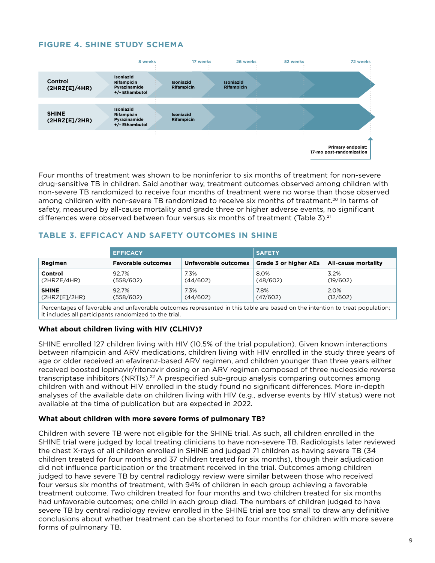## **FIGURE 4. SHINE STUDY SCHEMA**



Four months of treatment was shown to be noninferior to six months of treatment for non-severe drug-sensitive TB in children. Said another way, treatment outcomes observed among children with non-severe TB randomized to receive four months of treatment were no worse than those observed among children with non-severe TB randomized to receive six months of treatment.<sup>20</sup> In terms of safety, measured by all-cause mortality and grade three or higher adverse events, no significant differences were observed between four versus six months of treatment (Table 3).<sup>21</sup>

## **TABLE 3. EFFICACY AND SAFETY OUTCOMES IN SHINE**

|                 | <b>EFFICACY</b>           |                      | <b>SAFETY</b>         |                            |  |
|-----------------|---------------------------|----------------------|-----------------------|----------------------------|--|
| Regimen         | <b>Favorable outcomes</b> | Unfavorable outcomes | Grade 3 or higher AEs | <b>All-cause mortality</b> |  |
| Control         | 92.7%                     | 7.3%                 | 8.0%                  | 3.2%                       |  |
| (2HRZE/4HR)     | (558/602)                 | (44/602)             | (48/602)              | (19/602)                   |  |
| <b>SHINE</b>    | 92.7%                     | 7.3%                 | 7.8%                  | 2.0%                       |  |
| (2H RZ[El/2HR)] | (558/602)                 | (44/602)             | (47/602)              | (12/602)                   |  |

Percentages of favorable and unfavorable outcomes represented in this table are based on the intention to treat population; it includes all participants randomized to the trial.

#### **What about children living with HIV (CLHIV)?**

SHINE enrolled 127 children living with HIV (10.5% of the trial population). Given known interactions between rifampicin and ARV medications, children living with HIV enrolled in the study three years of age or older received an efavirenz-based ARV regimen, and children younger than three years either received boosted lopinavir/ritonavir dosing or an ARV regimen composed of three nucleoside reverse transcriptase inhibitors (NRTIs).<sup>22</sup> A prespecified sub-group analysis comparing outcomes among children with and without HIV enrolled in the study found no significant differences. More in-depth analyses of the available data on children living with HIV (e.g., adverse events by HIV status) were not available at the time of publication but are expected in 2022.

#### **What about children with more severe forms of pulmonary TB?**

Children with severe TB were not eligible for the SHINE trial. As such, all children enrolled in the SHINE trial were judged by local treating clinicians to have non-severe TB. Radiologists later reviewed the chest X-rays of all children enrolled in SHINE and judged 71 children as having severe TB (34 children treated for four months and 37 children treated for six months), though their adjudication did not influence participation or the treatment received in the trial. Outcomes among children judged to have severe TB by central radiology review were similar between those who received four versus six months of treatment, with 94% of children in each group achieving a favorable treatment outcome. Two children treated for four months and two children treated for six months had unfavorable outcomes; one child in each group died. The numbers of children judged to have severe TB by central radiology review enrolled in the SHINE trial are too small to draw any definitive conclusions about whether treatment can be shortened to four months for children with more severe forms of pulmonary TB.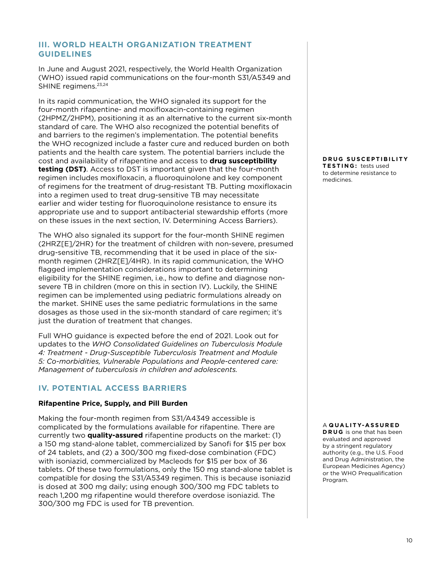## <span id="page-11-0"></span>**III. WORLD HEALTH ORGANIZATION TREATMENT GUIDELINES**

In June and August 2021, respectively, the World Health Organization (WHO) issued rapid communications on the four-month S31/A5349 and SHINE regimens.<sup>23,24</sup>

In its rapid communication, the WHO signaled its support for the four-month rifapentine- and moxifloxacin-containing regimen (2HPMZ/2HPM), positioning it as an alternative to the current six-month standard of care. The WHO also recognized the potential benefits of and barriers to the regimen's implementation. The potential benefits the WHO recognized include a faster cure and reduced burden on both patients and the health care system. The potential barriers include the cost and availability of rifapentine and access to **drug susceptibility testing (DST)**. Access to DST is important given that the four-month regimen includes moxifloxacin, a fluoroquinolone and key component of regimens for the treatment of drug-resistant TB. Putting moxifloxacin into a regimen used to treat drug-sensitive TB may necessitate earlier and wider testing for fluoroquinolone resistance to ensure its appropriate use and to support antibacterial stewardship efforts (more on these issues in the next section, IV. Determining Access Barriers).

The WHO also signaled its support for the four-month SHINE regimen (2HRZ[E]/2HR) for the treatment of children with non-severe, presumed drug-sensitive TB, recommending that it be used in place of the sixmonth regimen (2HRZ[E]/4HR). In its rapid communication, the WHO flagged implementation considerations important to determining eligibility for the SHINE regimen, i.e., how to define and diagnose nonsevere TB in children (more on this in section IV). Luckily, the SHINE regimen can be implemented using pediatric formulations already on the market. SHINE uses the same pediatric formulations in the same dosages as those used in the six-month standard of care regimen; it's just the duration of treatment that changes.

Full WHO guidance is expected before the end of 2021. Look out for updates to the *WHO Consolidated Guidelines on Tuberculosis Module 4: Treatment - Drug-Susceptible Tuberculosis Treatment and Module 5: Co-morbidities, Vulnerable Populations and People-centered care: Management of tuberculosis in children and adolescents.*

## **IV. POTENTIAL ACCESS BARRIERS**

#### **Rifapentine Price, Supply, and Pill Burden**

Making the four-month regimen from S31/A4349 accessible is complicated by the formulations available for rifapentine. There are currently two **quality-assured** rifapentine products on the market: (1) a 150 mg stand-alone tablet, commercialized by Sanofi for \$15 per box of 24 tablets, and (2) a 300/300 mg fixed-dose combination (FDC) with isoniazid, commercialized by Macleods for \$15 per box of 36 tablets. Of these two formulations, only the 150 mg stand-alone tablet is compatible for dosing the S31/A5349 regimen. This is because isoniazid is dosed at 300 mg daily; using enough 300/300 mg FDC tablets to reach 1,200 mg rifapentine would therefore overdose isoniazid. The 300/300 mg FDC is used for TB prevention.

**D R U G S U S C E P T I B I L I T Y TESTING:** tests used to determine resistance to medicines.

#### A **Q U A L I T Y-A S S U R E D**

**DRUG** is one that has been evaluated and approved by a stringent regulatory authority (e.g., the U.S. Food and Drug Administration, the European Medicines Agency) or the WHO Prequalification Program.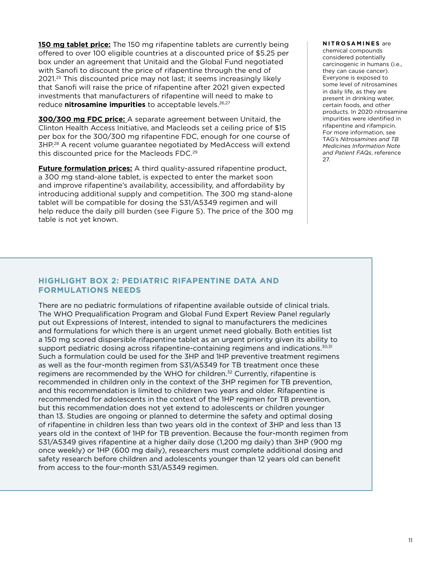<span id="page-12-0"></span>**150 mg tablet price:** The 150 mg rifapentine tablets are currently being offered to over 100 eligible countries at a discounted price of \$5.25 per box under an agreement that Unitaid and the Global Fund negotiated with Sanofi to discount the price of rifapentine through the end of 2021.25 This discounted price may not last; it seems increasingly likely that Sanofi will raise the price of rifapentine after 2021 given expected investments that manufacturers of rifapentine will need to make to reduce **nitrosamine impurities** to acceptable levels.<sup>26,27</sup>

**300/300 mg FDC price:** A separate agreement between Unitaid, the Clinton Health Access Initiative, and Macleods set a ceiling price of \$15 per box for the 300/300 mg rifapentine FDC, enough for one course of 3HP.28 A recent volume guarantee negotiated by MedAccess will extend this discounted price for the Macleods FDC.<sup>29</sup>

**Future formulation prices:** A third quality-assured rifapentine product, a 300 mg stand-alone tablet, is expected to enter the market soon and improve rifapentine's availability, accessibility, and affordability by introducing additional supply and competition. The 300 mg stand-alone tablet will be compatible for dosing the S31/A5349 regimen and will help reduce the daily pill burden (see Figure 5). The price of the 300 mg table is not yet known.

#### **NITROSAMINES** are chemical compounds considered potentially carcinogenic in humans (i.e., they can cause cancer). Everyone is exposed to some level of nitrosamines in daily life, as they are

present in drinking water, certain foods, and other products. In 2020 nitrosamine impurities were identified in rifapentine and rifampicin. For more information, see TAG's *Nitrosamines and TB Medicines Information Note and Patient FAQs*, reference 27.

## **HIGHLIGHT BOX 2: PEDIATRIC RIFAPENTINE DATA AND FORMULATIONS NEEDS**

There are no pediatric formulations of rifapentine available outside of clinical trials. The WHO Prequalification Program and Global Fund Expert Review Panel regularly put out Expressions of Interest, intended to signal to manufacturers the medicines and formulations for which there is an urgent unmet need globally. Both entities list a 150 mg scored dispersible rifapentine tablet as an urgent priority given its ability to support pediatric dosing across rifapentine-containing regimens and indications.<sup>30,31</sup> Such a formulation could be used for the 3HP and 1HP preventive treatment regimens as well as the four-month regimen from S31/A5349 for TB treatment once these regimens are recommended by the WHO for children.<sup>32</sup> Currently, rifapentine is recommended in children only in the context of the 3HP regimen for TB prevention, and this recommendation is limited to children two years and older. Rifapentine is recommended for adolescents in the context of the 1HP regimen for TB prevention, but this recommendation does not yet extend to adolescents or children younger than 13. Studies are ongoing or planned to determine the safety and optimal dosing of rifapentine in children less than two years old in the context of 3HP and less than 13 years old in the context of 1HP for TB prevention. Because the four-month regimen from S31/A5349 gives rifapentine at a higher daily dose (1,200 mg daily) than 3HP (900 mg once weekly) or 1HP (600 mg daily), researchers must complete additional dosing and safety research before children and adolescents younger than 12 years old can benefit from access to the four-month S31/A5349 regimen.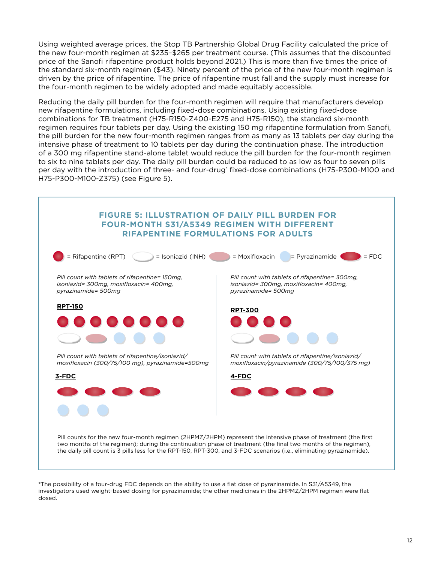Using weighted average prices, the Stop TB Partnership Global Drug Facility calculated the price of the new four-month regimen at \$235–\$265 per treatment course. (This assumes that the discounted price of the Sanofi rifapentine product holds beyond 2021.) This is more than five times the price of the standard six-month regimen (\$43). Ninety percent of the price of the new four-month regimen is driven by the price of rifapentine. The price of rifapentine must fall and the supply must increase for the four-month regimen to be widely adopted and made equitably accessible.

Reducing the daily pill burden for the four-month regimen will require that manufacturers develop new rifapentine formulations, including fixed-dose combinations. Using existing fixed-dose combinations for TB treatment (H75-R150-Z400-E275 and H75-R150), the standard six-month regimen requires four tablets per day. Using the existing 150 mg rifapentine formulation from Sanofi, the pill burden for the new four-month regimen ranges from as many as 13 tablets per day during the intensive phase of treatment to 10 tablets per day during the continuation phase. The introduction of a 300 mg rifapentine stand-alone tablet would reduce the pill burden for the four-month regimen to six to nine tablets per day. The daily pill burden could be reduced to as low as four to seven pills per day with the introduction of three- and four-drug\* fixed-dose combinations (H75-P300-M100 and H75-P300-M100-Z375) (see Figure 5).



\*The possibility of a four-drug FDC depends on the ability to use a flat dose of pyrazinamide. In S31/A5349, the investigators used weight-based dosing for pyrazinamide; the other medicines in the 2HPMZ/2HPM regimen were flat dosed.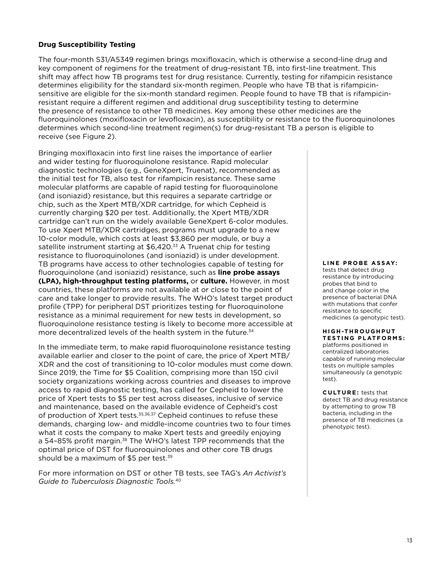#### **Drug Susceptibility Testing**

The four-month S31/A5349 regimen brings moxifloxacin, which is otherwise a second-line drug and key component of regimens for the treatment of drug-resistant TB, into first-line treatment. This shift may affect how TB programs test for drug resistance. Currently, testing for rifampicin resistance determines eligibility for the standard six-month regimen. People who have TB that is rifampicinsensitive are eligible for the six-month standard regimen. People found to have TB that is rifampicinresistant require a different regimen and additional drug susceptibility testing to determine the presence of resistance to other TB medicines. Key among these other medicines are the fluoroquinolones (moxifloxacin or levofloxacin), as susceptibility or resistance to the fluoroquinolones determines which second-line treatment regimen(s) for drug-resistant TB a person is eligible to receive (see Figure 2).

Bringing moxifloxacin into first line raises the importance of earlier and wider testing for fluoroquinolone resistance. Rapid molecular diagnostic technologies (e.g., GeneXpert, Truenat), recommended as the initial test for TB, also test for rifampicin resistance. These same molecular platforms are capable of rapid testing for fluoroquinolone (and isoniazid) resistance, but this requires a separate cartridge or chip, such as the Xpert MTB/XDR cartridge, for which Cepheid is currently charging \$20 per test. Additionally, the Xpert MTB/XDR cartridge can't run on the widely available GeneXpert 6-color modules. To use Xpert MTB/XDR cartridges, programs must upgrade to a new 10-color module, which costs at least \$3,860 per module, or buy a satellite instrument starting at \$6,420.<sup>33</sup> A Truenat chip for testing resistance to fluoroquinolones (and isoniazid) is under development. TB programs have access to other technologies capable of testing for fluoroquinolone (and isoniazid) resistance, such as **line probe assays (LPA), high-throughput testing platforms,** or **culture.** However, in most countries, these platforms are not available at or close to the point of care and take longer to provide results. The WHO's latest target product profile (TPP) for peripheral DST prioritizes testing for fluoroquinolone resistance as a minimal requirement for new tests in development, so fluoroquinolone resistance testing is likely to become more accessible at more decentralized levels of the health system in the future.<sup>34</sup>

In the immediate term, to make rapid fluoroquinolone resistance testing available earlier and closer to the point of care, the price of Xpert MTB/ XDR and the cost of transitioning to 10-color modules must come down. Since 2019, the Time for \$5 Coalition, comprising more than 150 civil society organizations working across countries and diseases to improve access to rapid diagnostic testing, has called for Cepheid to lower the price of Xpert tests to \$5 per test across diseases, inclusive of service and maintenance, based on the available evidence of Cepheid's cost of production of Xpert tests.<sup>35,36,37</sup> Cepheid continues to refuse these demands, charging low- and middle-income countries two to four times what it costs the company to make Xpert tests and greedily enjoying a 54-85% profit margin.<sup>38</sup> The WHO's latest TPP recommends that the optimal price of DST for fluoroquinolones and other core TB drugs should be a maximum of \$5 per test.<sup>39</sup>

For more information on DST or other TB tests, see TAG's *An Activist's Guide to Tuberculosis Diagnostic Tools.*40

#### **LINE PROBE ASSAY:**

tests that detect drug resistance by introducing probes that bind to and change color in the presence of bacterial DNA with mutations that confer resistance to specific medicines (a genotypic test).

#### **H I G H -T H R O U G H P U T TESTING PLATFORMS:**

platforms positioned in centralized laboratories capable of running molecular tests on multiple samples simultaneously (a genotypic test).

**CULTURE:** tests that detect TB and drug resistance by attempting to grow TB bacteria, including in the presence of TB medicines (a phenotypic test).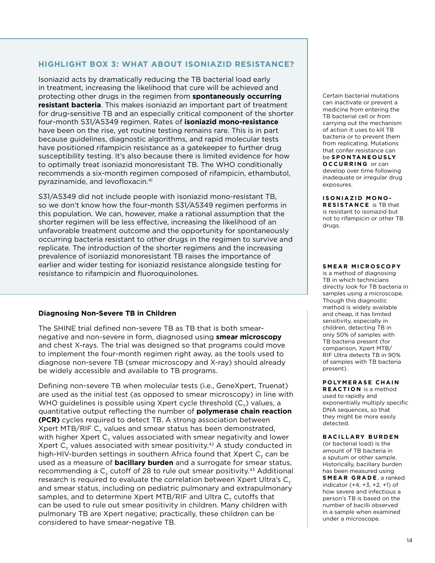## **HIGHLIGHT BOX 3: WHAT ABOUT ISONIAZID RESISTANCE?**

Isoniazid acts by dramatically reducing the TB bacterial load early in treatment, increasing the likelihood that cure will be achieved and protecting other drugs in the regimen from **spontaneously occurring resistant bacteria**. This makes isoniazid an important part of treatment for drug-sensitive TB and an especially critical component of the shorter four-month S31/A5349 regimen. Rates of **isoniazid mono-resistance** have been on the rise, yet routine testing remains rare. This is in part because guidelines, diagnostic algorithms, and rapid molecular tests have positioned rifampicin resistance as a gatekeeper to further drug susceptibility testing. It's also because there is limited evidence for how to optimally treat isoniazid monoresistant TB. The WHO conditionally recommends a six-month regimen composed of rifampicin, ethambutol, pyrazinamide, and levofloxacin.<sup>41</sup>

S31/A5349 did not include people with isoniazid mono-resistant TB, so we don't know how the four-month S31/A5349 regimen performs in this population. We can, however, make a rational assumption that the shorter regimen will be less effective, increasing the likelihood of an unfavorable treatment outcome and the opportunity for spontaneously occurring bacteria resistant to other drugs in the regimen to survive and replicate. The introduction of the shorter regimens and the increasing prevalence of isoniazid monoresistant TB raises the importance of earlier and wider testing for isoniazid resistance alongside testing for resistance to rifampicin and fluoroquinolones.

#### **Diagnosing Non-Severe TB in Children**

The SHINE trial defined non-severe TB as TB that is both smearnegative and non-severe in form, diagnosed using **smear microscopy** and chest X-rays. The trial was designed so that programs could move to implement the four-month regimen right away, as the tools used to diagnose non-severe TB (smear microscopy and X-ray) should already be widely accessible and available to TB programs.

Defining non-severe TB when molecular tests (i.e., GeneXpert, Truenat) are used as the initial test (as opposed to smear microscopy) in line with WHO guidelines is possible using Xpert cycle threshold (C<sub>T</sub>) values, a quantitative output reflecting the number of **polymerase chain reaction (PCR)** cycles required to detect TB. A strong association between Xpert MTB/RIF  $\mathsf{C}_{_{\sf T}}$  values and smear status has been demonstrated, with higher Xpert  ${\sf C}_{_{\sf T}}$  values associated with smear negativity and lower Xpert C<sub>r</sub> values associated with smear positivity.<sup>42</sup> A study conducted in high-HIV-burden settings in southern Africa found that Xpert  $\mathsf{C}_\tau$  can be used as a measure of **bacillary burden** and a surrogate for smear status, recommending a C<sub>T</sub> cutoff of 28 to rule out smear positivity.<sup>43</sup> Additional research is required to evaluate the correlation between Xpert Ultra's  $C<sub>r</sub>$ and smear status, including on pediatric pulmonary and extrapulmonary samples, and to determine Xpert MTB/RIF and Ultra  ${\sf C}_{{}_{\sf T}}$  cutoffs that can be used to rule out smear positivity in children. Many children with pulmonary TB are Xpert negative; practically, these children can be considered to have smear-negative TB.

Certain bacterial mutations can inactivate or prevent a medicine from entering the TB bacterial cell or from carrying out the mechanism of action it uses to kill TB bacteria or to prevent them from replicating. Mutations that confer resistance can be **S P O N TA N E O U S LY OCCURRING** or can develop over time following inadequate or irregular drug exposures.

**ISONIAZID MONO-RESISTANCE** is TB that is resistant to isoniazid but not to rifampicin or other TB drugs.

#### **SMEAR MICROSCOPY**

is a method of diagnosing TB in which technicians directly look for TB bacteria in samples using a microscope. Though this diagnostic method is widely available and cheap, it has limited sensitivity, especially in children, detecting TB in only 50% of samples with TB bacteria present (for comparison, Xpert MTB/ RIF Ultra detects TB in 90% of samples with TB bacteria present).

#### **POLYMERASE CHAIN**

**REACTION** is a method used to rapidly and exponentially multiply specific DNA sequences, so that they might be more easily detected.

#### **BACILLARY BURDEN**

(or bacterial load) is the amount of TB bacteria in a sputum or other sample. Historically, bacillary burden has been measured using **SMEAR GRADE** , a ranked indicator (+4, +3, +2, +1) of how severe and infectious a person's TB is based on the number of bacilli observed in a sample when examined under a microscope.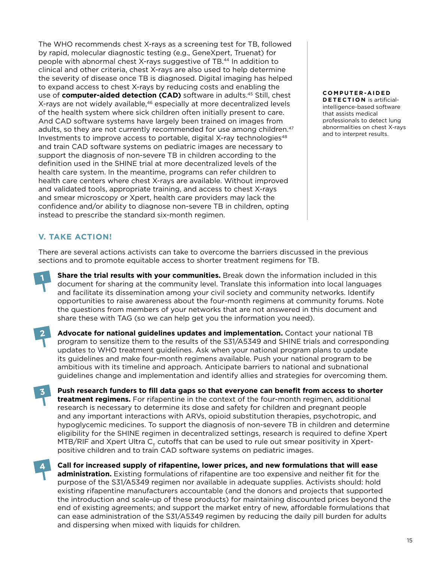<span id="page-16-0"></span>The WHO recommends chest X-rays as a screening test for TB, followed by rapid, molecular diagnostic testing (e.g., GeneXpert, Truenat) for people with abnormal chest X-rays suggestive of TB.44 In addition to clinical and other criteria, chest X-rays are also used to help determine the severity of disease once TB is diagnosed. Digital imaging has helped to expand access to chest X-rays by reducing costs and enabling the use of **computer-aided detection (CAD)** software in adults.45 Still, chest X-rays are not widely available,<sup>46</sup> especially at more decentralized levels of the health system where sick children often initially present to care. And CAD software systems have largely been trained on images from adults, so they are not currently recommended for use among children.<sup>47</sup> Investments to improve access to portable, digital X-ray technologies $48$ and train CAD software systems on pediatric images are necessary to support the diagnosis of non-severe TB in children according to the definition used in the SHINE trial at more decentralized levels of the health care system. In the meantime, programs can refer children to health care centers where chest X-rays are available. Without improved and validated tools, appropriate training, and access to chest X-rays and smear microscopy or Xpert, health care providers may lack the confidence and/or ability to diagnose non-severe TB in children, opting instead to prescribe the standard six-month regimen.

**C O M P U T E R -A I D E D DETECTION** is artificialintelligence-based software that assists medical professionals to detect lung abnormalities on chest X-rays and to interpret results.

## **V. TAKE ACTION!**

There are several actions activists can take to overcome the barriers discussed in the previous sections and to promote equitable access to shorter treatment regimens for TB.

**Share the trial results with your communities.** Break down the information included in this document for sharing at the community level. Translate this information into local languages and facilitate its dissemination among your civil society and community networks. Identify opportunities to raise awareness about the four-month regimens at community forums. Note the questions from members of your networks that are not answered in this document and share these with TAG (so we can help get you the information you need).



**3**

**1**

**Advocate for national guidelines updates and implementation.** Contact your national TB program to sensitize them to the results of the S31/A5349 and SHINE trials and corresponding updates to WHO treatment guidelines. Ask when your national program plans to update its guidelines and make four-month regimens available. Push your national program to be ambitious with its timeline and approach. Anticipate barriers to national and subnational guidelines change and implementation and identify allies and strategies for overcoming them.

**Push research funders to fill data gaps so that everyone can benefit from access to shorter treatment regimens.** For rifapentine in the context of the four-month regimen, additional research is necessary to determine its dose and safety for children and pregnant people and any important interactions with ARVs, opioid substitution therapies, psychotropic, and hypoglycemic medicines. To support the diagnosis of non-severe TB in children and determine eligibility for the SHINE regimen in decentralized settings, research is required to define Xpert MTB/RIF and Xpert Ultra C<sub>T</sub> cutoffs that can be used to rule out smear positivity in Xpertpositive children and to train CAD software systems on pediatric images.

**4Call for increased supply of rifapentine, lower prices, and new formulations that will ease administration.** Existing formulations of rifapentine are too expensive and neither fit for the purpose of the S31/A5349 regimen nor available in adequate supplies. Activists should: hold existing rifapentine manufacturers accountable (and the donors and projects that supported the introduction and scale-up of these products) for maintaining discounted prices beyond the end of existing agreements; and support the market entry of new, affordable formulations that can ease administration of the S31/A5349 regimen by reducing the daily pill burden for adults and dispersing when mixed with liquids for children.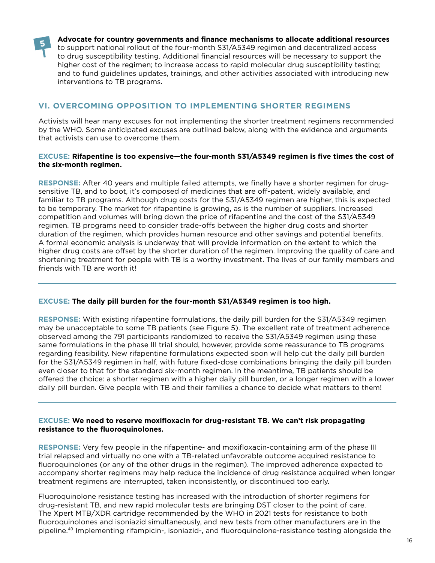<span id="page-17-0"></span>

**Advocate for country governments and finance mechanisms to allocate additional resources**  to support national rollout of the four-month S31/A5349 regimen and decentralized access to drug susceptibility testing. Additional financial resources will be necessary to support the higher cost of the regimen; to increase access to rapid molecular drug susceptibility testing; and to fund guidelines updates, trainings, and other activities associated with introducing new interventions to TB programs.

## **VI. OVERCOMING OPPOSITION TO IMPLEMENTING SHORTER REGIMENS**

Activists will hear many excuses for not implementing the shorter treatment regimens recommended by the WHO. Some anticipated excuses are outlined below, along with the evidence and arguments that activists can use to overcome them.

#### **EXCUSE: Rifapentine is too expensive—the four-month S31/A5349 regimen is five times the cost of the six-month regimen.**

**RESPONSE:** After 40 years and multiple failed attempts, we finally have a shorter regimen for drugsensitive TB, and to boot, it's composed of medicines that are off-patent, widely available, and familiar to TB programs. Although drug costs for the S31/A5349 regimen are higher, this is expected to be temporary. The market for rifapentine is growing, as is the number of suppliers. Increased competition and volumes will bring down the price of rifapentine and the cost of the S31/A5349 regimen. TB programs need to consider trade-offs between the higher drug costs and shorter duration of the regimen, which provides human resource and other savings and potential benefits. A formal economic analysis is underway that will provide information on the extent to which the higher drug costs are offset by the shorter duration of the regimen. Improving the quality of care and shortening treatment for people with TB is a worthy investment. The lives of our family members and friends with TB are worth it!

#### **EXCUSE: The daily pill burden for the four-month S31/A5349 regimen is too high.**

**RESPONSE:** With existing rifapentine formulations, the daily pill burden for the S31/A5349 regimen may be unacceptable to some TB patients (see Figure 5). The excellent rate of treatment adherence observed among the 791 participants randomized to receive the S31/A5349 regimen using these same formulations in the phase III trial should, however, provide some reassurance to TB programs regarding feasibility. New rifapentine formulations expected soon will help cut the daily pill burden for the S31/A5349 regimen in half, with future fixed-dose combinations bringing the daily pill burden even closer to that for the standard six-month regimen. In the meantime, TB patients should be offered the choice: a shorter regimen with a higher daily pill burden, or a longer regimen with a lower daily pill burden. Give people with TB and their families a chance to decide what matters to them!

#### **EXCUSE: We need to reserve moxifloxacin for drug-resistant TB. We can't risk propagating resistance to the fluoroquinolones.**

**RESPONSE:** Very few people in the rifapentine- and moxifloxacin-containing arm of the phase III trial relapsed and virtually no one with a TB-related unfavorable outcome acquired resistance to fluoroquinolones (or any of the other drugs in the regimen). The improved adherence expected to accompany shorter regimens may help reduce the incidence of drug resistance acquired when longer treatment regimens are interrupted, taken inconsistently, or discontinued too early.

Fluoroquinolone resistance testing has increased with the introduction of shorter regimens for drug-resistant TB, and new rapid molecular tests are bringing DST closer to the point of care. The Xpert MTB/XDR cartridge recommended by the WHO in 2021 tests for resistance to both fluoroquinolones and isoniazid simultaneously, and new tests from other manufacturers are in the pipeline.49 Implementing rifampicin-, isoniazid-, and fluoroquinolone-resistance testing alongside the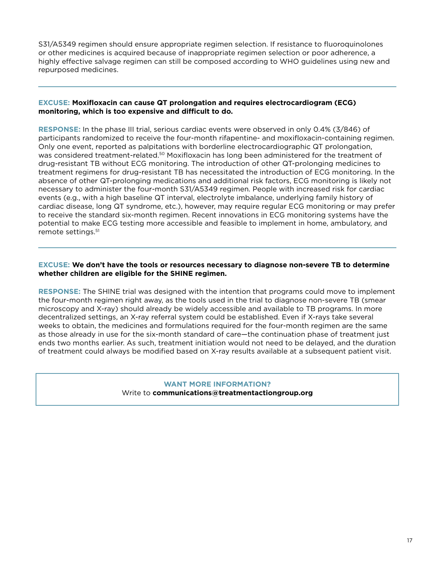S31/A5349 regimen should ensure appropriate regimen selection. If resistance to fluoroquinolones or other medicines is acquired because of inappropriate regimen selection or poor adherence, a highly effective salvage regimen can still be composed according to WHO guidelines using new and repurposed medicines.

#### **EXCUSE: Moxifloxacin can cause QT prolongation and requires electrocardiogram (ECG) monitoring, which is too expensive and difficult to do.**

**RESPONSE:** In the phase III trial, serious cardiac events were observed in only 0.4% (3/846) of participants randomized to receive the four-month rifapentine- and moxifloxacin-containing regimen. Only one event, reported as palpitations with borderline electrocardiographic QT prolongation, was considered treatment-related.<sup>50</sup> Moxifloxacin has long been administered for the treatment of drug-resistant TB without ECG monitoring. The introduction of other QT-prolonging medicines to treatment regimens for drug-resistant TB has necessitated the introduction of ECG monitoring. In the absence of other QT-prolonging medications and additional risk factors, ECG monitoring is likely not necessary to administer the four-month S31/A5349 regimen. People with increased risk for cardiac events (e.g., with a high baseline QT interval, electrolyte imbalance, underlying family history of cardiac disease, long QT syndrome, etc.), however, may require regular ECG monitoring or may prefer to receive the standard six-month regimen. Recent innovations in ECG monitoring systems have the potential to make ECG testing more accessible and feasible to implement in home, ambulatory, and remote settings.<sup>51</sup>

#### **EXCUSE: We don't have the tools or resources necessary to diagnose non-severe TB to determine whether children are eligible for the SHINE regimen.**

**RESPONSE:** The SHINE trial was designed with the intention that programs could move to implement the four-month regimen right away, as the tools used in the trial to diagnose non-severe TB (smear microscopy and X-ray) should already be widely accessible and available to TB programs. In more decentralized settings, an X-ray referral system could be established. Even if X-rays take several weeks to obtain, the medicines and formulations required for the four-month regimen are the same as those already in use for the six-month standard of care—the continuation phase of treatment just ends two months earlier. As such, treatment initiation would not need to be delayed, and the duration of treatment could always be modified based on X-ray results available at a subsequent patient visit.

#### **WANT MORE INFORMATION?**  Write to **communications@treatmentactiongroup.org**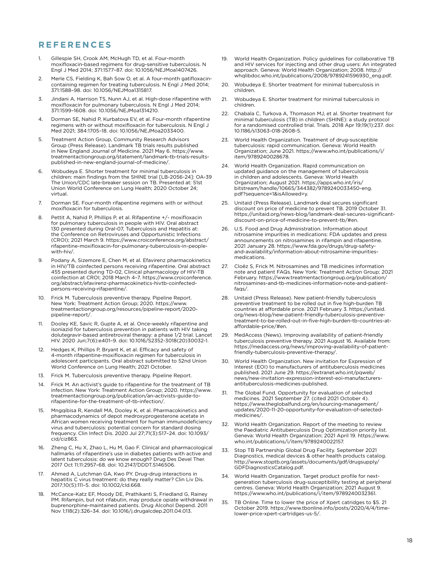#### **REFERENCES**

- 1. Gillespie SH, Crook AM, McHugh TD, et al. Four-month moxifloxacin-based regimens for drug-sensitive tuberculosis. N Engl J Med 2014; 371:1577–87. doi: 10.1056/NEJMoa1407426.
- 2. Merle CS, Fielding K, Bah Sow O, et al. A four-month gatifloxacincontaining regimen for treating tuberculosis. N Engl J Med 2014; 371:1588–98. doi: 10.1056/NEJMoa1315817.
- 3. Jindani A, Harrison TS, Nunn AJ, et al. High-dose rifapentine with moxifloxacin for pulmonary tuberculosis. N Engl J Med 2014; 371:1599–1608. doi: 10.1056/NEJMoa1314210.
- 4. Dorman SE, Nahid P, Kurbatova EV, et al. Four-month rifapentine regimens with or without moxifloxacin for tuberculosis. N Engl J Med 2021; 384:1705–18. doi: 10.1056/NEJMoa2033400.
- 5. Treatment Action Group, Community Research Advisors Group (Press Release). Landmark TB trials results published in New England Journal of Medicine. 2021 May 6. [https://www.](https://www.treatmentactiongroup.org/statement/landmark-tb-trials-results-published-in-new-england-j) [treatmentactiongroup.org/statement/landmark-tb-trials-results](https://www.treatmentactiongroup.org/statement/landmark-tb-trials-results-published-in-new-england-j)[published-in-new-england-journal-of-medicine/](https://www.treatmentactiongroup.org/statement/landmark-tb-trials-results-published-in-new-england-j).
- 6. Wobudeya E. Shorter treatment for minimal tuberculosis in children: main findings from the SHINE trial [LB-2056-24]: OA-39 The Union/CDC late-breaker session on TB. Presented at: 51st Union World Conference on Lung Health; 2020 October 24; virtual.
- 7. Dorman SE. Four-month rifapentine regimens with or without moxifloxacin for tuberculosis.
- 8. Pettit A, Nahid P, Phillips P, et al. Rifapentine +/- moxifloxacin for pulmonary tuberculosis in people with HIV. Oral abstract 130 presented during Oral-07, Tuberculosis and Hepatitis at: the Conference on Retroviruses and Opportunistic Infections (CROI); 2021 March 9. [https://www.croiconference.org/abstract/](https://www.croiconference.org/abstract/rifapentine-moxifloxacin-for-pulmonary-tuberculosis-in-peopl) [rifapentine-moxifloxacin-for-pulmonary-tuberculosis-in-people](https://www.croiconference.org/abstract/rifapentine-moxifloxacin-for-pulmonary-tuberculosis-in-peopl)[with-hiv/](https://www.croiconference.org/abstract/rifapentine-moxifloxacin-for-pulmonary-tuberculosis-in-peopl).
- 9. Podany A, Sizemore E, Chen M, et al. Efavirenz pharmacokinetics in HIV/TB coinfected persons receiving rifapentine. Oral abstract 455 presented during TD-02, Clinical pharmacology of HIV-TB coinfection at CROI; 2018 March 4–7. [https://www.croiconference.](https://www.croiconference.org/abstract/efavirenz-pharmacokinetics-hivtb-coinfected-persons-receivin) [org/abstract/efavirenz-pharmacokinetics-hivtb-coinfected](https://www.croiconference.org/abstract/efavirenz-pharmacokinetics-hivtb-coinfected-persons-receivin)[persons-receiving-rifapentine/.](https://www.croiconference.org/abstract/efavirenz-pharmacokinetics-hivtb-coinfected-persons-receivin)
- 10. Frick M. Tuberculosis preventive therapy. Pipeline Report. New York: Treatment Action Group; 2020. [https://www.](https://www.treatmentactiongroup.org/resources/pipeline-report/2020-pipeline-report/) [treatmentactiongroup.org/resources/pipeline-report/2020](https://www.treatmentactiongroup.org/resources/pipeline-report/2020-pipeline-report/) [pipeline-report/](https://www.treatmentactiongroup.org/resources/pipeline-report/2020-pipeline-report/).
- 11. Dooley KE, Savic R, Gupte A, et al. Once-weekly rifapentine and isoniazid for tuberculosis prevention in patients with HIV taking dolutegravir-based antiretroviral therapy: a phase 1/2 trial. Lancet HIV. 2020 Jun;7(6):e401–9. doi: 10.1016/S2352-3018(20)30032-1.
- 12. Hedges K, Phillips P, Bryant K, et al. Efficacy and safety of 4-month rifapentine-moxifloxacin regimen for tuberculosis in adolescent participants. Oral abstract submitted to 52nd Union World Conference on Lung Health; 2021 October.
- 13. Frick M. Tuberculosis preventive therapy. Pipeline Report.
- 14. Frick M. An activist's guide to rifapentine for the treatment of TB infection. New York: Treatment Action Group; 2020. [https://www.](https://www.treatmentactiongroup.org/publication/an-activists-guide-to-rifapentine-for-the-treatment) [treatmentactiongroup.org/publication/an-activists-guide-to](https://www.treatmentactiongroup.org/publication/an-activists-guide-to-rifapentine-for-the-treatment)[rifapentine-for-the-treatment-of-tb-infection/.](https://www.treatmentactiongroup.org/publication/an-activists-guide-to-rifapentine-for-the-treatment)
- 15. Mngqibisa R, Kendall MA, Dooley K, et al. Pharmacokinetics and pharmacodynamics of depot medroxyprogesterone acetate in African women receiving treatment for human immunodeficiency virus and tuberculosis: potential concern for standard dosing frequency. Clin Infect Dis. 2020 Jul 27;71(3):517–24. doi: 10.1093/ cid/ciz863.
- 16. Zheng C, Hu X, Zhao L, Hu M, Gao F. Clinical and pharmacological hallmarks of rifapentine's use in diabetes patients with active and latent tuberculosis: do we know enough? Drug Des Devel Ther. 2017 Oct 11;11:2957–68. doi: 10.2147/DDDT.S146506.
- 17. Ahmed A, Lutchman GA, Kwo PY. Drug-drug interactions in hepatitis C virus treatment: do they really matter? Clin Liv Dis. 2017;10(5):111–5. doi: 10.1002/cld.668.
- 18. McCance-Katz EF, Moody DE, Prathikanti S, Friedland G, Rainey PM. Rifampin, but not rifabutin, may produce opiate withdrawal in buprenorphine-maintained patients. Drug Alcohol Depend. 2011 Nov 1;118(2):326–34. doi: 10.1016/j.drugalcdep.2011.04.013.
- 19. World Health Organization. Policy guidelines for collaborative TB and HIV services for injecting and other drug users: An integrated approach. Geneva: World Health Organization; 2008. [http://](http://whqlibdoc.who.int/publications/2008/9789241596930_eng.pdf) [whqlibdoc.who.int/publications/2008/9789241596930\\_eng.pdf](http://whqlibdoc.who.int/publications/2008/9789241596930_eng.pdf).
- 20. Wobudeya E. Shorter treatment for minimal tuberculosis in children.
- 21. Wobudeya E. Shorter treatment for minimal tuberculosis in children.
- 22. Chabala C, Turkova A, Thomason MJ, et al. Shorter treatment for minimal tuberculosis (TB) in children (SHINE): a study protocol for a randomised controlled trial. Trials. 2018 Apr 19;19(1):237. doi: 10.1186/s13063-018-2608-5.
- 23. World Health Organization. Treatment of drug-susceptible tuberculosis: rapid communication. Geneva: World Health Organization; June 2021. [https://www.who.int/publications/i/](https://www.who.int/publications/i/item/9789240028678) [item/9789240028678](https://www.who.int/publications/i/item/9789240028678).
- 24. World Health Organization. Rapid communication on updated guidance on the management of tuberculosis in children and adolescents. Geneva: World Health Organization; August 2021. [https://apps.who.int/iris/](https://apps.who.int/iris/bitstream/handle/10665/344382/9789240033450-eng.pdf?sequence=1&isAllowed=y) [bitstream/handle/10665/344382/9789240033450-eng.](https://apps.who.int/iris/bitstream/handle/10665/344382/9789240033450-eng.pdf?sequence=1&isAllowed=y) [pdf?sequence=1&isAllowed=y](https://apps.who.int/iris/bitstream/handle/10665/344382/9789240033450-eng.pdf?sequence=1&isAllowed=y).
- 25. Unitaid (Press Release). Landmark deal secures significant discount on price of medicine to prevent TB. 2019 October 31. [https://unitaid.org/news-blog/landmark-deal-secures-significant](https://unitaid.org/news-blog/landmark-deal-secures-significant-discount-on-price-of-medicine-to-pre)[discount-on-price-of-medicine-to-prevent-tb/#en.](https://unitaid.org/news-blog/landmark-deal-secures-significant-discount-on-price-of-medicine-to-pre)
- 26. U.S. Food and Drug Administration. Information about nitrosamine impurities in medications: FDA updates and press announcements on nitrosamines in rifampin and rifapentine. 2021 January 28. [https://www.fda.gov/drugs/drug-safety](https://www.fda.gov/drugs/drug-safety-and-availability/information-about-nitrosamine-impurities-medications)[and-availability/information-about-nitrosamine-impurities](https://www.fda.gov/drugs/drug-safety-and-availability/information-about-nitrosamine-impurities-medications)[medications](https://www.fda.gov/drugs/drug-safety-and-availability/information-about-nitrosamine-impurities-medications).
- 27. Cloëz S, Frick M. Nitrosamines and TB medicines information note and patient FAQs. New York: Treatment Action Group; 2021 February. [https://www.treatmentactiongroup.org/publication/](https://www.treatmentactiongroup.org/publication/nitrosamines-and-tb-medicines-information-note-and-) [nitrosamines-and-tb-medicines-information-note-and-patient](https://www.treatmentactiongroup.org/publication/nitrosamines-and-tb-medicines-information-note-and-)[faqs/](https://www.treatmentactiongroup.org/publication/nitrosamines-and-tb-medicines-information-note-and-).
- 28. Unitaid (Press Release). New patient-friendly tuberculosis preventive treatment to be rolled out in five high-burden TB countries at affordable price. 2021 February 3. [https://unitaid.](https://unitaid.org/news-blog/new-patient-friendly-tuberculosis-preventive-treatment-to-be-rolled-ou) [org/news-blog/new-patient-friendly-tuberculosis-preventive](https://unitaid.org/news-blog/new-patient-friendly-tuberculosis-preventive-treatment-to-be-rolled-ou)[treatment-to-be-rolled-out-in-five-high-burden-tb-countries-at](https://unitaid.org/news-blog/new-patient-friendly-tuberculosis-preventive-treatment-to-be-rolled-ou)[affordable-price/#en.](https://unitaid.org/news-blog/new-patient-friendly-tuberculosis-preventive-treatment-to-be-rolled-ou)
- 29. MedAccess (News). Improving availability of patient-friendly tuberculosis preventive therapy. 2021 August 16. Available from: [https://medaccess.org/news/improving-availability-of-patient](https://medaccess.org/news/improving-availability-of-patient-friendly-tuberculosis-preventive-therap)[friendly-tuberculosis-preventive-therapy/.](https://medaccess.org/news/improving-availability-of-patient-friendly-tuberculosis-preventive-therap)
- 30. World Health Organization. New invitation for Expression of Interest (EOI) to manufacturers of antituberculosis medicines published. 2021 June 29. [https://extranet.who.int/pqweb/](https://extranet.who.int/pqweb/news/new-invitation-expression-interest-eoi-manufacturers-antitubercu) [news/new-invitation-expression-interest-eoi-manufacturers](https://extranet.who.int/pqweb/news/new-invitation-expression-interest-eoi-manufacturers-antitubercu)[antituberculosis-medicines-published.](https://extranet.who.int/pqweb/news/new-invitation-expression-interest-eoi-manufacturers-antitubercu)
- 31. The Global Fund. Opportunity for evaluation of selected medicines. 2021 September 27. (cited 2021 October 4). [https://www.theglobalfund.org/en/sourcing-management/](https://www.theglobalfund.org/en/sourcing-management/updates/2021-09-27-opportunity-for-evaluation-of-selected-medicines/) [updates/2020-11-20-opportunity-for-evaluation-of-selected](https://www.theglobalfund.org/en/sourcing-management/updates/2021-09-27-opportunity-for-evaluation-of-selected-medicines/)[medicines/.](https://www.theglobalfund.org/en/sourcing-management/updates/2021-09-27-opportunity-for-evaluation-of-selected-medicines/)
- 32. World Health Organization. Report of the meeting to review the Paediatric Antituberculosis Drug Optimization priority list. Geneva: World Health Organization; 2021 April 19. [https://www.](https://www.who.int/publications/i/item/9789240022157) [who.int/publications/i/item/9789240022157](https://www.who.int/publications/i/item/9789240022157).
- 33. Stop TB Partnership Global Drug Facility. September 2021 Diagnostics, medical devices & other health products catalog. [http://www.stoptb.org/assets/documents/gdf/drugsupply/](http://www.stoptb.org/assets/documents/gdf/drugsupply/GDFDiagnosticsCatalog.pdf) [GDFDiagnosticsCatalog.pdf](http://www.stoptb.org/assets/documents/gdf/drugsupply/GDFDiagnosticsCatalog.pdf).
- 34. World Health Organization. Target product profile for nextgeneration tuberculosis drug-susceptibility testing at peripheral centres. Geneva: World Health Organization; 2021 August 9. <https://www.who.int/publications/i/item/9789240032361>.
- 35. TB Online. Time to lower the price of Xpert catridges to \$5. 21 October 2019. [https://www.tbonline.info/posts/2020/4/4/time](https://www.tbonline.info/posts/2020/4/4/time-lower-price-xpert-cartridges-us-5/)[lower-price-xpert-cartridges-us-5/.](https://www.tbonline.info/posts/2020/4/4/time-lower-price-xpert-cartridges-us-5/)